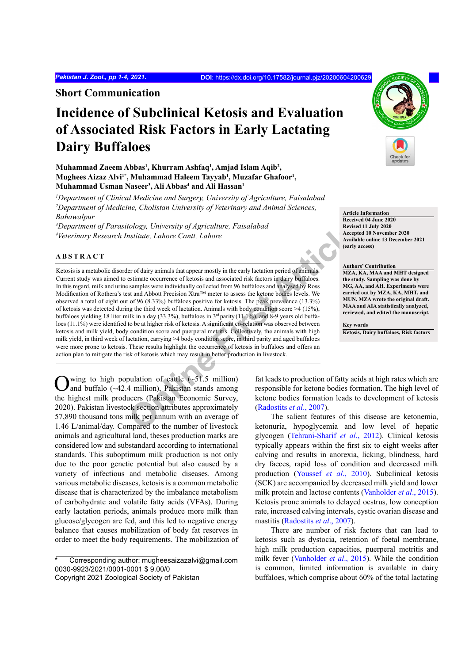**Short Communication**

# **Incidence of Subclinical Ketosis and Evaluation of Associated Risk Factors in Early Lactating Dairy Buffaloes**

**Muhammad Zaeem Abbas1 , Khurram Ashfaq1 , Amjad Islam Aqib2 , Mughees Aizaz Alvi1\*, Muhammad Haleem Tayyab1 , Muzafar Ghafoor1 , Muhammad Usman Naseer3 , Ali Abbas4 and Ali Hassan1**

*1 Department of Clinical Medicine and Surgery, University of Agriculture, Faisalabad* <sup>2</sup>Department of Medicine, Cholistan University of Veterinary and Animal Sciences, *Bahawalpur*

*3 Department of Parasitology, University of Agriculture, Faisalabad 4 Veterinary Research Institute, Lahore Cantt, Lahore*

## **ABSTRACT**

*Cology, University of Agriculture, Faisalabad*<br> *Cology, University of Agriculture, Faisalabad*<br> **Online Carrity** and the strained the strained term is the section of density and the section and Abbore continues and anal Ketosis is a metabolic disorder of dairy animals that appear mostly in the early lactation period of animals Current study was aimed to estimate occurrence of ketosis and associated risk factors in dairy buffaloes. In this regard, milk and urine samples were individually collected from 96 buffaloes and analysed by Ross Modification of Rothera's test and Abbott Precision Xtra™ meter to assess the ketone bodies levels. We observed a total of eight out of 96 (8.33%) buffaloes positive for ketosis. The peak prevalence (13.3%) of ketosis was detected during the third week of lactation. Animals with body condition score >4 (15%), buffaloes yielding 18 liter milk in a day (33.3%), buffaloes in  $3<sup>rd</sup>$  parity (11.1%), and 8-9 years old buffaloes (11.1%) were identified to be at higher risk of ketosis. A significant co-relation was observed between ketosis and milk yield, body condition score and puerperal metritis. Collectively, the animals with high milk yield, in third week of lactation, carrying >4 body condition score, in third parity and aged buffaloes were more prone to ketosis. These results highlight the occurrence of ketosis in buffaloes and offers an action plan to mitigate the risk of ketosis which may result in better production in livestock.

wing to high population of cattle  $(-51.5 \text{ million})$ and buffalo (~42.4 million), Pakistan stands among the highest milk producers (Pakistan Economic Survey, 2020). Pakistan livestock section attributes approximately 57,890 thousand tons milk per annum with an average of 1.46 L/animal/day. Compared to the number of livestock animals and agricultural land, theses production marks are considered low and substandard according to international standards. This suboptimum milk production is not only due to the poor genetic potential but also caused by a variety of infectious and metabolic diseases. Among various metabolic diseases, ketosis is a common metabolic disease that is characterized by the imbalance metabolism of carbohydrate and volatile fatty acids (VFAs). During early lactation periods, animals produce more milk than glucose/glycogen are fed, and this led to negative energy balance that causes mobilization of body fat reserves in order to meet the body requirements. The mobilization of

Corresponding author: mugheesaizazalvi@gmail.com 0030-9923/2021/0001-0001 \$ 9.00/0



**Article Information**

#### **Authors' Contribution MZA, KA, MAA and MHT designed the study. Sampling was done by MG, AA, and AH. Experiments were carried out by MZA, KA, MHT, and MUN. MZA wrote the original draft. MAA and AIA statistically analyzed, reviewed, and edited the manuscript.**

**Key words Ketosis, Dairy buffaloes, Risk factors**

fat leads to production of fatty acids at high rates which are responsible for ketone bodies formation. The high level of ketone bodies formation leads to development of ketosis (Radostits *et al*., 2007).

The salient features of this disease are ketonemia, ketonuria, hypoglycemia and low level of hepatic glycogen ([Tehrani-Sharif](#page-3-1) *et al*., 2012). Clinical ketosis typically appears within the first six to eight weeks after calving and results in anorexia, licking, blindness, hard dry faeces, rapid loss of condition and decreased milk production ([Youssef](#page-3-2) *et al*., 2010). Subclinical ketosis (SCK) are accompanied by decreased milk yield and lower milk protein and lactose contents [\(Vanholder](#page-3-3) *et al*., 2015). Ketosis prone animals to delayed oestrus, low conception rate, increased calving intervals, cystic ovarian disease and mastitis ([Radostits](#page-3-0) *et al*., 2007).

There are number of risk factors that can lead to ketosis such as dystocia, retention of foetal membrane, high milk production capacities, puerperal metritis and milk fever [\(Vanholder](#page-3-3) *et al*., 2015). While the condition is common, limited information is available in dairy buffaloes, which comprise about 60% of the total lactating



Copyright 2021 Zoological Society of Pakistan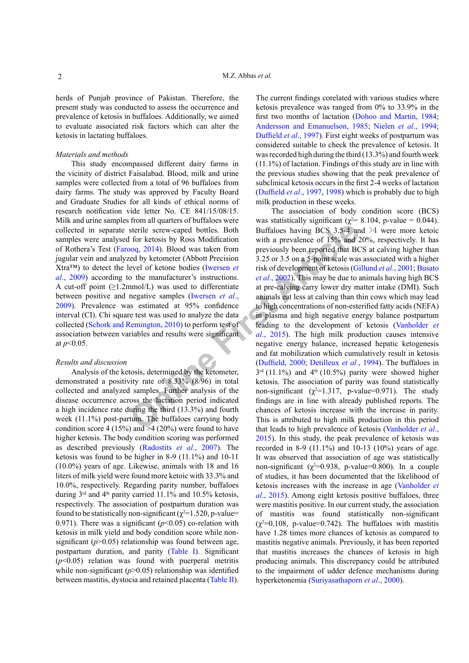herds of Punjab province of Pakistan. Therefore, the present study was conducted to assess the occurrence and prevalence of ketosis in buffaloes. Additionally, we aimed to evaluate associated risk factors which can alter the ketosis in lactating buffaloes.

## *Materials and methods*

This study encompassed different dairy farms in the vicinity of district Faisalabad. Blood, milk and urine samples were collected from a total of 96 buffaloes from dairy farms. The study was approved by Faculty Board and Graduate Studies for all kinds of ethical norms of research notification vide letter No. CE 841/15/08/15. Milk and urine samples from all quarters of buffaloes were collected in separate sterile screw-caped bottles. Both samples were analysed for ketosis by Ross Modification of Rothera's Test (Farooq, 2014). Blood was taken from jugular vein and analyzed by ketometer (Abbott Precision Xtra™) to detect the level of ketone bodies (Iwersen *et al*[., 2009](#page-3-5)) according to the manufacturer's instructions. A cut-off point  $(\geq 1.2$ mmol/L) was used to differentiate between positive and negative samples (Iwersen *et al*., [2009\)](#page-3-5). Prevalence was estimated at 95% confidence interval (CI). Chi square test was used to analyze the data collected ([Schork and Remington, 2010](#page-3-6)) to perform test of association between variables and results were significant at *p*<0.05.

## *Results and discussion*

Analysis of the ketosis, determined by the ketometer, demonstrated a positivity rate of 8.33% (8/96) in total collected and analyzed samples. Further analysis of the disease occurrence across the lactation period indicated a high incidence rate during the third (13.3%) and fourth week (11.1%) post-partum. The buffaloes carrying body condition score 4 (15%) and  $\geq$  4 (20%) were found to have higher ketosis. The body condition scoring was performed as described previously ([Radostits](#page-3-0) *et al*., 2007). The ketosis was found to be higher in 8-9 (11.1%) and 10-11 (10.0%) years of age. Likewise, animals with 18 and 16 liters of milk yield were found more ketoic with 33.3% and 10.0%, respectively. Regarding parity number, buffaloes during  $3<sup>rd</sup>$  and  $4<sup>th</sup>$  parity carried 11.1% and 10.5% ketosis, respectively. The association of postpartum duration was found to be statistically non-significant  $(\chi^2=1.520, p-value=$ 0.971). There was a significant  $(p<0.05)$  co-relation with ketosis in milk yield and body condition score while nonsignificant  $(p>0.05)$  relationship was found between age, postpartum duration, and parity ([Table I](#page-2-0)). Significant  $(p<0.05)$  relation was found with puerperal metritis while non-significant  $(p>0.05)$  relationship was identified between mastitis, dystocia and retained placenta ([Table II](#page-2-0)).

The current findings corelated with various studies where ketosis prevalence was ranged from 0% to 33.9% in the first two months of lactation [\(Dohoo and Martin, 1984](#page-3-7); [Andersson and Emanuelson, 1985](#page-3-8); [Nielen](#page-3-9) *et al*., 1994; [Duffield](#page-3-10) *et al*., 1997). First eight weeks of postpartum was considered suitable to check the prevalence of ketosis. It was recorded high during the third (13.3%) and fourth week (11.1%) of lactation. Findings of this study are in line with the previous studies showing that the peak prevalence of subclinical ketosis occurs in the first 2-4 weeks of lactation (Duffield *et al*., 1997, [1998](#page-3-10)) which is probably due to high milk production in these weeks.

**Solutiona[r](#page-3-3)y** Statemington, 2010) to perform test of the set and for the set and  $\alpha$  only  $\alpha$  and  $\beta$  and  $\gamma$  and  $\gamma$  and  $\gamma$  and  $\gamma$  and  $\gamma$  and  $\gamma$  and  $\gamma$  and  $\gamma$  and  $\gamma$  and  $\gamma$  and  $\gamma$  and  $\gamma$  and  $\gamma$ The association of body condition score (BCS) was statistically significant ( $\chi^2$ = 8.104, p-value = 0.044). Buffaloes having BCS 3.5-4 and  $>4$  were more ketoic with a prevalence of 15% and 20%, respectively. It has previously been reported that BCS at calving higher than 3.25 or 3.5 on a 5-point scale was associated with a higher risk of development of ketosis (Gillund *et al*., 2001; Busato *et al*., 2002). This may be due to animals having high BCS at pre-calving carry lower dry matter intake (DMI). Such animals eat less at calving than thin cows which may lead to high concentrations of non-esterified fatty acids (NEFA) in plasma and high negative energy balance postpartum leading to the development of ketosis ([Vanholder](#page-3-3) *et al*., 2015). The high milk production causes intensive negative energy balance, increased hepatic ketogenesis and fat mobilization which cumulatively result in ketosis (Duffield, 2000; Detilleux *et al*., 1994). The buffaloes in  $3<sup>rd</sup>$  (11.1%) and  $4<sup>th</sup>$  (10.5%) parity were showed higher ketosis. The association of parity was found statistically non-significant  $(\chi^2=1.317, \text{ p-value}=0.971)$ . The study findings are in line with already published reports. The chances of ketosis increase with the increase in parity. This is attributed to high milk production in this period that leads to high prevalence of ketosis [\(Vanholder](#page-3-3) *et al*., [2015](#page-3-3)). In this study, the peak prevalence of ketosis was recorded in 8-9 (11.1%) and 10-13 (10%) years of age. It was observed that association of age was statistically non-significant ( $\chi^2$ =0.938, p-value=0.800). In a couple of studies, it has been documented that the likelihood of ketosis increases with the increase in age (Vanholder *et al*., 2015). Among eight ketosis positive buffaloes, three were mastitis positive. In our current study, the association of mastitis was found statistically non-significant  $(\chi^2=0.108, \text{ p-value}=0.742)$ . The buffaloes with mastitis have 1.28 times more chances of ketosis as compared to mastitis negative animals. Previously, it has been reported that mastitis increases the chances of ketosis in high producing animals. This discrepancy could be attributed to the impairment of udder defence mechanisms during hyperketonemia ([Suriyasathaporn](#page-3-13) *et al*., 2000).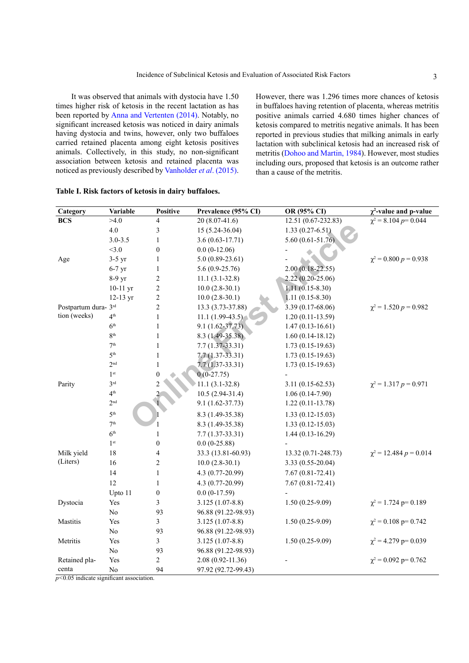It was observed that animals with dystocia have 1.50 times higher risk of ketosis in the recent lactation as has been reported by [Anna and Vertenten \(2014\).](#page-3-14) Notably, no significant increased ketosis was noticed in dairy animals having dystocia and twins, however, only two buffaloes carried retained placenta among eight ketosis positives animals. Collectively, in this study, no non-significant association between ketosis and retained placenta was noticed as previously described by [Vanholder](#page-3-3) *et al*. (2015). However, there was 1.296 times more chances of ketosis in buffaloes having retention of placenta, whereas metritis positive animals carried 4.680 times higher chances of ketosis compared to metritis negative animals. It has been reported in previous studies that milking animals in early lactation with subclinical ketosis had an increased risk of metritis ([Dohoo and Martin, 1984](#page-3-7)). However, most studies including ours, proposed that ketosis is an outcome rather than a cause of the metritis.

| Category             | Variable           | <b>Positive</b>          | Prevalence (95% CI) | OR (95% CI)          | $\chi^2$ -value and p-value  |
|----------------------|--------------------|--------------------------|---------------------|----------------------|------------------------------|
| <b>BCS</b>           | >4.0               | 4                        | $20(8.07-41.6)$     | 12.51 (0.67-232.83)  | $\chi^2$ = 8.104 p= 0.044    |
|                      | 4.0                | 3                        | $15(5.24-36.04)$    | $1.33(0.27 - 6.51)$  |                              |
|                      | $3.0 - 3.5$        | $\mathbf{1}$             | $3.6(0.63 - 17.71)$ | $5.60(0.61 - 51.76)$ |                              |
|                      | <3.0               | $\boldsymbol{0}$         | $0.0(0-12.06)$      |                      |                              |
| Age                  | $3-5$ yr           | $\mathbf{1}$             | $5.0(0.89-23.61)$   |                      | $\chi^2$ = 0.800 $p$ = 0.938 |
|                      | $6-7$ yr           | $\mathbf{1}$             | $5.6(0.9-25.76)$    | $2.00(0.18-22.55)$   |                              |
|                      | 8-9 yr             | $\overline{c}$           | $11.1(3.1-32.8)$    | 2.22 (0.20-25.06)    |                              |
|                      | $10-11$ yr         | $\overline{c}$           | $10.0(2.8-30.1)$    | $1.11(0.15 - 8.30)$  |                              |
|                      | $12-13 \text{ yr}$ | $\overline{c}$           | $10.0(2.8-30.1)$    | $1.11(0.15-8.30)$    |                              |
| Postpartum dura- 3rd |                    | $\overline{c}$           | 13.3 (3.73-37.88)   | 3.39 (0.17-68.06)    | $\chi^2$ = 1.520 p = 0.982   |
| tion (weeks)         | 4 <sup>th</sup>    | $\,1$                    | $11.1(1.99-43.5)$   | $1.20(0.11-13.59)$   |                              |
|                      | 6 <sup>th</sup>    | $\mathbf{1}$             | $9.1(1.62 - 37.73)$ | $1.47(0.13 - 16.61)$ |                              |
|                      | 8 <sup>th</sup>    | $\mathbf{1}$             | 8.3 (1.49-35.38)    | $1.60(0.14-18.12)$   |                              |
|                      | $7^{\rm th}$       | $\,1$                    | $7.7(1.37 - 33.31)$ | $1.73(0.15-19.63)$   |                              |
|                      | 5 <sup>th</sup>    | $\,1$                    | $7.7(1.37-33.31)$   | $1.73(0.15-19.63)$   |                              |
|                      | 2 <sup>nd</sup>    | $\mathbf{1}$             | $7.7(1.37 - 33.31)$ | $1.73(0.15-19.63)$   |                              |
|                      | 1 <sup>st</sup>    | $\boldsymbol{0}$         | $0(0-27.75)$        |                      |                              |
| Parity               | 3 <sup>rd</sup>    | 2                        | $11.1(3.1-32.8)$    | $3.11(0.15-62.53)$   | $\chi^2$ = 1.317 p = 0.971   |
|                      | 4 <sup>th</sup>    |                          | $10.5(2.94-31.4)$   | $1.06(0.14-7.90)$    |                              |
|                      | 2 <sup>nd</sup>    |                          | $9.1(1.62 - 37.73)$ | $1.22(0.11-13.78)$   |                              |
|                      | 5 <sup>th</sup>    |                          | 8.3 (1.49-35.38)    | $1.33(0.12 - 15.03)$ |                              |
|                      | 7 <sup>th</sup>    |                          | 8.3 (1.49-35.38)    | $1.33(0.12 - 15.03)$ |                              |
|                      | 6 <sup>th</sup>    | 1                        | $7.7(1.37-33.31)$   | $1.44(0.13 - 16.29)$ |                              |
|                      | 1 <sup>st</sup>    | $\boldsymbol{0}$         | $0.0(0-25.88)$      |                      |                              |
| Milk yield           | 18                 | $\overline{\mathcal{L}}$ | 33.3 (13.81-60.93)  | 13.32 (0.71-248.73)  | $\chi^2$ = 12.484 p = 0.014  |
| (Liters)             | 16                 | $\overline{c}$           | $10.0(2.8-30.1)$    | 3.33 (0.55-20.04)    |                              |
|                      | 14                 | $\,1$                    | 4.3 (0.77-20.99)    | $7.67(0.81 - 72.41)$ |                              |
|                      | 12                 | $\mathbf{1}$             | 4.3 (0.77-20.99)    | $7.67(0.81 - 72.41)$ |                              |
|                      | Upto 11            | $\boldsymbol{0}$         | $0.0(0-17.59)$      |                      |                              |
| Dystocia             | Yes                | 3                        | $3.125(1.07-8.8)$   | $1.50(0.25-9.09)$    | $\chi^2$ = 1.724 p= 0.189    |
|                      | No                 | 93                       | 96.88 (91.22-98.93) |                      |                              |
| Mastitis             | Yes                | $\overline{3}$           | $3.125(1.07-8.8)$   | $1.50(0.25-9.09)$    | $\chi^2$ = 0.108 p= 0.742    |
|                      | $\rm No$           | 93                       | 96.88 (91.22-98.93) |                      |                              |
| Metritis             | Yes                | 3                        | $3.125(1.07-8.8)$   | $1.50(0.25-9.09)$    | $\chi^2$ = 4.279 p= 0.039    |
|                      | $\rm No$           | 93                       | 96.88 (91.22-98.93) |                      |                              |
| Retained pla-        | Yes                | $\overline{c}$           | 2.08 (0.92-11.36)   |                      | $\chi^2$ = 0.092 p= 0.762    |
| centa                | No                 | 94                       | 97.92 (92.72-99.43) |                      |                              |

<span id="page-2-0"></span>**Table I. Risk factors of ketosis in dairy buffaloes.**

*p<*0.05 indicate significant association.